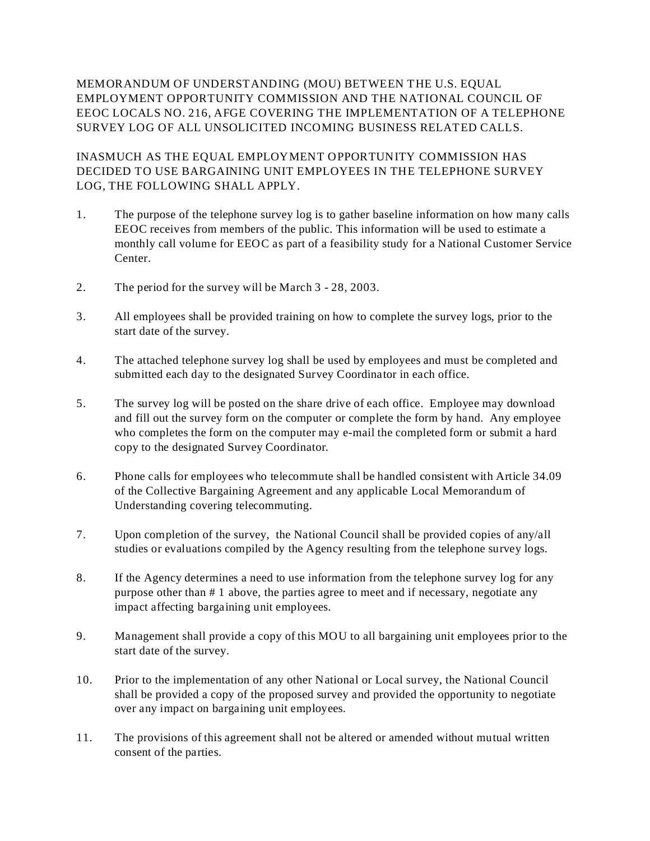MEMORANDUM OF UNDERSTANDING (MOU) BETWEEN THE U.S. EQUAL EMPLOYMENT OPPORTUNITY COMMISSION AND THE NATIONAL COUNCIL OF EEOC LOCALS NO. 216, AFGE COVERING THE IMPLEMENTATION OF A TELEPHONE SURVEY LOG OF ALL UNSOLICITED INCOMING BUSINESS RELATED CALLS.

INASMUCH AS THE EQUAL EMPLOYMENT OPPORTUNITY COMMISSION HAS DECIDED TO USE BARGAINING UNIT EMPLOYEES IN THE TELEPHONE SURVEY LOG, THE FOLLOWING SHALL APPLY.

- 1. The purpose of the telephone survey log is to gather baseline information on how many calls EEOC receives from members of the public. This information will be used to estimate a monthly call volume for EEOC as part of a feasibility study for a National Customer Service Center.
- 2. The period for the survey will be March 3 28, 2003.
- 3. All employees shall be provided training on how to complete the survey logs, prior to the start date of the survey.
- 4. The attached telephone survey log shall be used by employees and must be completed and submitted each day to the designated Survey Coordinator in each office.
- 5. The survey log will be posted on the share drive of each office. Employee may download and fill out the survey form on the computer or complete the form by hand. Any employee who completes the form on the computer may e-mail the completed form or submit a hard copy to the designated Survey Coordinator.
- 6. Phone calls for employees who telecommute shall be handled consistent with Article 34.09 of the Collective Bargaining Agreement and any applicable Local Memorandum of Understanding covering telecommuting.
- 7. Upon completion of the survey, the National Council shall be provided copies of any/all studies or evaluations compiled by the Agency resulting from the telephone survey logs.
- 8. If the Agency determines a need to use information from the telephone survey log for any purpose other than # 1 above, the parties agree to meet and if necessary, negotiate any impact affecting bargaining unit employees.
- 9. Management shall provide a copy of this MOU to all bargaining unit employees prior to the start date of the survey.
- 10. Prior to the implementation of any other National or Local survey, the National Council shall be provided a copy of the proposed survey and provided the opportunity to negotiate over any impact on bargaining unit employees.
- 11. The provisions of this agreement shall not be altered or amended without mutual written consent of the parties.